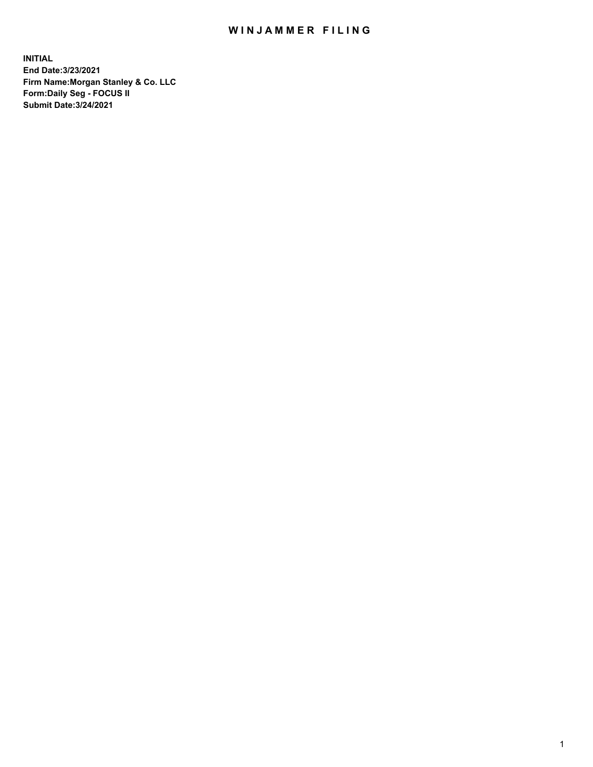## WIN JAMMER FILING

**INITIAL End Date:3/23/2021 Firm Name:Morgan Stanley & Co. LLC Form:Daily Seg - FOCUS II Submit Date:3/24/2021**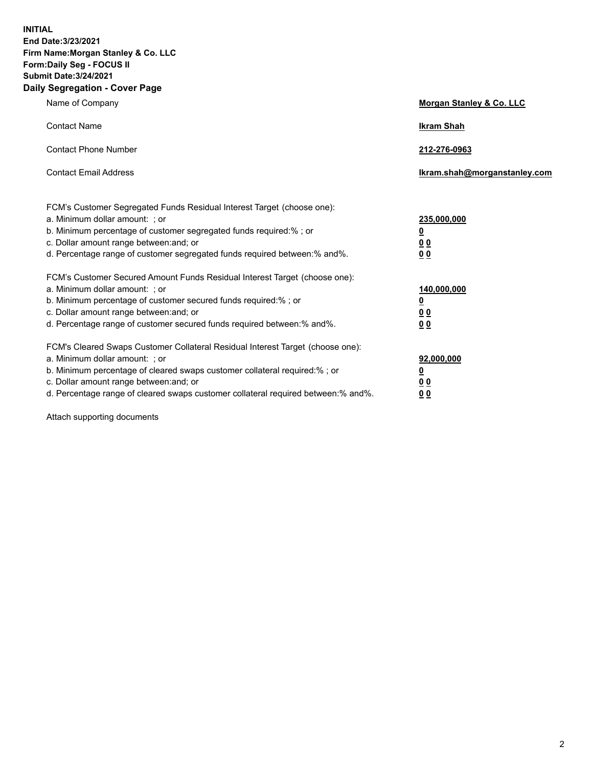**INITIAL End Date:3/23/2021 Firm Name:Morgan Stanley & Co. LLC Form:Daily Seg - FOCUS II Submit Date:3/24/2021 Daily Segregation - Cover Page**

| Name of Company                                                                                                                                                                                                                                                                                                                | <b>Morgan Stanley &amp; Co. LLC</b>                         |
|--------------------------------------------------------------------------------------------------------------------------------------------------------------------------------------------------------------------------------------------------------------------------------------------------------------------------------|-------------------------------------------------------------|
| <b>Contact Name</b>                                                                                                                                                                                                                                                                                                            | <b>Ikram Shah</b>                                           |
| <b>Contact Phone Number</b>                                                                                                                                                                                                                                                                                                    | 212-276-0963                                                |
| <b>Contact Email Address</b>                                                                                                                                                                                                                                                                                                   | Ikram.shah@morganstanley.com                                |
| FCM's Customer Segregated Funds Residual Interest Target (choose one):<br>a. Minimum dollar amount: ; or<br>b. Minimum percentage of customer segregated funds required:%; or<br>c. Dollar amount range between: and; or<br>d. Percentage range of customer segregated funds required between:% and%.                          | 235,000,000<br><u>0</u><br>0 <sub>0</sub><br>0 <sub>0</sub> |
| FCM's Customer Secured Amount Funds Residual Interest Target (choose one):<br>a. Minimum dollar amount: ; or<br>b. Minimum percentage of customer secured funds required:% ; or<br>c. Dollar amount range between: and; or<br>d. Percentage range of customer secured funds required between:% and%.                           | 140,000,000<br><u>0</u><br>0 <sub>0</sub><br>0 <sub>0</sub> |
| FCM's Cleared Swaps Customer Collateral Residual Interest Target (choose one):<br>a. Minimum dollar amount: ; or<br>b. Minimum percentage of cleared swaps customer collateral required:% ; or<br>c. Dollar amount range between: and; or<br>d. Percentage range of cleared swaps customer collateral required between:% and%. | 92,000,000<br><u>0</u><br><u>00</u><br>0 <sub>0</sub>       |

Attach supporting documents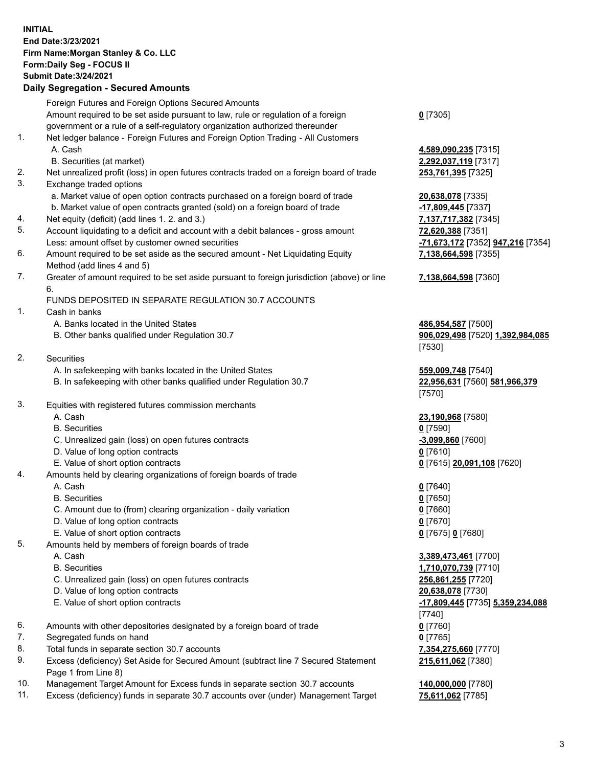## **INITIAL End Date:3/23/2021 Firm Name:Morgan Stanley & Co. LLC Form:Daily Seg - FOCUS II Submit Date:3/24/2021**

## **Daily Segregation - Secured Amounts**

Foreign Futures and Foreign Options Secured Amounts Amount required to be set aside pursuant to law, rule or regulation of a foreign government or a rule of a self-regulatory organization authorized thereunder 1. Net ledger balance - Foreign Futures and Foreign Option Trading - All Customers A. Cash **4,589,090,235** [7315] B. Securities (at market) **2,292,037,119** [7317] 2. Net unrealized profit (loss) in open futures contracts traded on a foreign board of trade **253,761,395** [7325] 3. Exchange traded options a. Market value of open option contracts purchased on a foreign board of trade **20,638,078** [7335] b. Market value of open contracts granted (sold) on a foreign board of trade **-17,809,445** [7337] 4. Net equity (deficit) (add lines 1. 2. and 3.) **7,137,717,382** [7345] 5. Account liquidating to a deficit and account with a debit balances - gross amount **72,620,388** [7351] Less: amount offset by customer owned securities **-71,673,172** [7352] **947,216** [7354] 6. Amount required to be set aside as the secured amount - Net Liquidating Equity Method (add lines 4 and 5) 7. Greater of amount required to be set aside pursuant to foreign jurisdiction (above) or line 6. FUNDS DEPOSITED IN SEPARATE REGULATION 30.7 ACCOUNTS 1. Cash in banks A. Banks located in the United States **486,954,587** [7500] B. Other banks qualified under Regulation 30.7 **906,029,498** [7520] **1,392,984,085** 2. Securities A. In safekeeping with banks located in the United States **559,009,748** [7540] B. In safekeeping with other banks qualified under Regulation 30.7 **22,956,631** [7560] **581,966,379** 3. Equities with registered futures commission merchants A. Cash **23,190,968** [7580] B. Securities **0** [7590] C. Unrealized gain (loss) on open futures contracts **-3,099,860** [7600] D. Value of long option contracts **0** [7610] E. Value of short option contracts **0** [7615] **20,091,108** [7620] 4. Amounts held by clearing organizations of foreign boards of trade A. Cash **0** [7640] B. Securities **0** [7650] C. Amount due to (from) clearing organization - daily variation **0** [7660] D. Value of long option contracts **0** [7670] E. Value of short option contracts **0** [7675] **0** [7680] 5. Amounts held by members of foreign boards of trade A. Cash **3,389,473,461** [7700] B. Securities **1,710,070,739** [7710] C. Unrealized gain (loss) on open futures contracts **256,861,255** [7720] D. Value of long option contracts **20,638,078** [7730] E. Value of short option contracts **-17,809,445** [7735] **5,359,234,088** 6. Amounts with other depositories designated by a foreign board of trade **0** [7760] 7. Segregated funds on hand **0** [7765] 8. Total funds in separate section 30.7 accounts **7,354,275,660** [7770] 9. Excess (deficiency) Set Aside for Secured Amount (subtract line 7 Secured Statement

Page 1 from Line 8) 10. Management Target Amount for Excess funds in separate section 30.7 accounts **140,000,000** [7780]

11. Excess (deficiency) funds in separate 30.7 accounts over (under) Management Target **75,611,062** [7785]

**0** [7305]

**7,138,664,598** [7355]

## **7,138,664,598** [7360]

[7530]

[7570]

[7740] **215,611,062** [7380]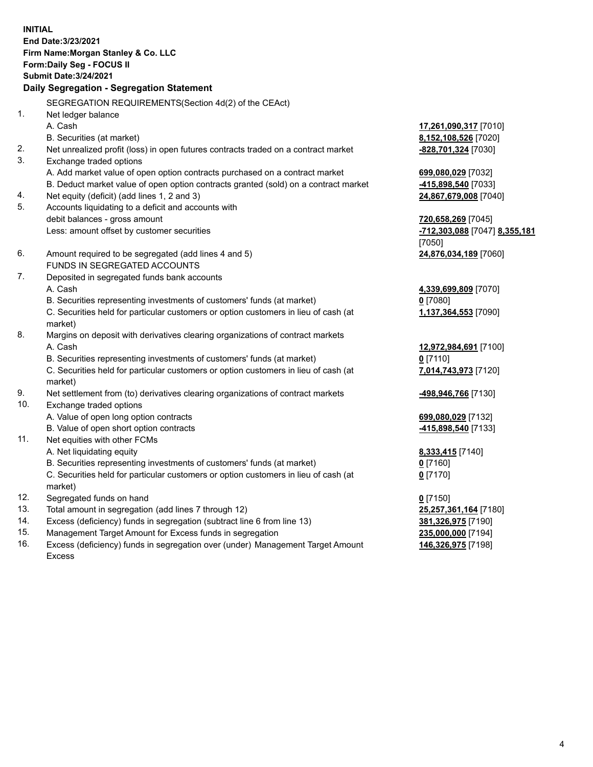**INITIAL End Date:3/23/2021 Firm Name:Morgan Stanley & Co. LLC Form:Daily Seg - FOCUS II Submit Date:3/24/2021 Daily Segregation - Segregation Statement** SEGREGATION REQUIREMENTS(Section 4d(2) of the CEAct) 1. Net ledger balance A. Cash **17,261,090,317** [7010] B. Securities (at market) **8,152,108,526** [7020] 2. Net unrealized profit (loss) in open futures contracts traded on a contract market **-828,701,324** [7030] 3. Exchange traded options A. Add market value of open option contracts purchased on a contract market **699,080,029** [7032] B. Deduct market value of open option contracts granted (sold) on a contract market **-415,898,540** [7033] 4. Net equity (deficit) (add lines 1, 2 and 3) **24,867,679,008** [7040] 5. Accounts liquidating to a deficit and accounts with debit balances - gross amount **720,658,269** [7045] Less: amount offset by customer securities **-712,303,088** [7047] **8,355,181** [7050] 6. Amount required to be segregated (add lines 4 and 5) **24,876,034,189** [7060] FUNDS IN SEGREGATED ACCOUNTS 7. Deposited in segregated funds bank accounts A. Cash **4,339,699,809** [7070] B. Securities representing investments of customers' funds (at market) **0** [7080] C. Securities held for particular customers or option customers in lieu of cash (at market) **1,137,364,553** [7090] 8. Margins on deposit with derivatives clearing organizations of contract markets A. Cash **12,972,984,691** [7100] B. Securities representing investments of customers' funds (at market) **0** [7110] C. Securities held for particular customers or option customers in lieu of cash (at market) **7,014,743,973** [7120] 9. Net settlement from (to) derivatives clearing organizations of contract markets **-498,946,766** [7130] 10. Exchange traded options A. Value of open long option contracts **699,080,029** [7132] B. Value of open short option contracts **-415,898,540** [7133] 11. Net equities with other FCMs A. Net liquidating equity **8,333,415** [7140] B. Securities representing investments of customers' funds (at market) **0** [7160] C. Securities held for particular customers or option customers in lieu of cash (at market) **0** [7170] 12. Segregated funds on hand **0** [7150] 13. Total amount in segregation (add lines 7 through 12) **25,257,361,164** [7180] 14. Excess (deficiency) funds in segregation (subtract line 6 from line 13) **381,326,975** [7190] 15. Management Target Amount for Excess funds in segregation **235,000,000** [7194]

16. Excess (deficiency) funds in segregation over (under) Management Target Amount Excess

**146,326,975** [7198]